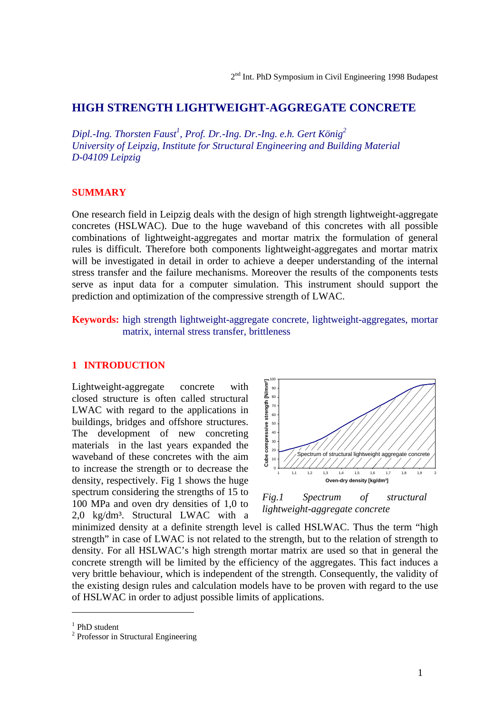# **HIGH STRENGTH LIGHTWEIGHT-AGGREGATE CONCRETE**

*Dipl.-Ing. Thorsten Faust1 , Prof. Dr.-Ing. Dr.-Ing. e.h. Gert König2 University of Leipzig, Institute for Structural Engineering and Building Material D-04109 Leipzig*

## **SUMMARY**

One research field in Leipzig deals with the design of high strength lightweight-aggregate concretes (HSLWAC). Due to the huge waveband of this concretes with all possible combinations of lightweight-aggregates and mortar matrix the formulation of general rules is difficult. Therefore both components lightweight-aggregates and mortar matrix will be investigated in detail in order to achieve a deeper understanding of the internal stress transfer and the failure mechanisms. Moreover the results of the components tests serve as input data for a computer simulation. This instrument should support the prediction and optimization of the compressive strength of LWAC.

**Keywords:** high strength lightweight-aggregate concrete, lightweight-aggregates, mortar matrix, internal stress transfer, brittleness

## **1 INTRODUCTION**

Lightweight-aggregate concrete with closed structure is often called structural LWAC with regard to the applications in buildings, bridges and offshore structures. The development of new concreting materials in the last years expanded the waveband of these concretes with the aim to increase the strength or to decrease the density, respectively. Fig 1 shows the huge spectrum considering the strengths of 15 to 100 MPa and oven dry densities of 1,0 to 2,0 kg/dm³. Structural LWAC with a



*Fig.1 Spectrum of structural lightweight-aggregate concrete*

minimized density at a definite strength level is called HSLWAC. Thus the term "high strength" in case of LWAC is not related to the strength, but to the relation of strength to density. For all HSLWAC's high strength mortar matrix are used so that in general the concrete strength will be limited by the efficiency of the aggregates. This fact induces a very brittle behaviour, which is independent of the strength. Consequently, the validity of the existing design rules and calculation models have to be proven with regard to the use of HSLWAC in order to adjust possible limits of applications.

 $\overline{a}$ 

<sup>&</sup>lt;sup>1</sup> PhD student

<sup>&</sup>lt;sup>2</sup> Professor in Structural Engineering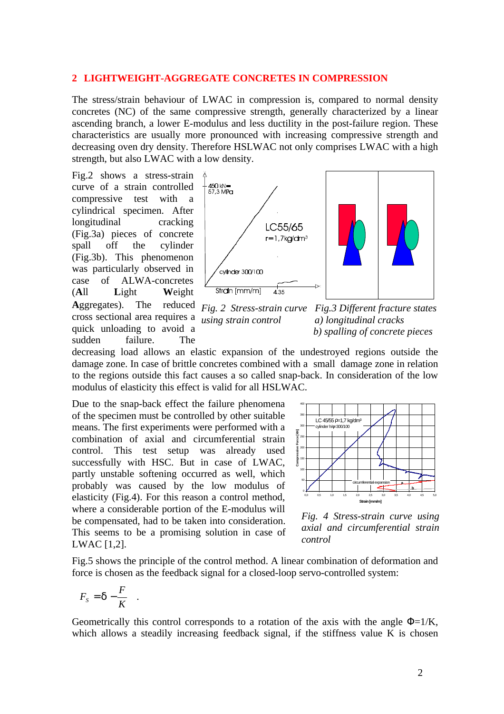#### **2 LIGHTWEIGHT-AGGREGATE CONCRETES IN COMPRESSION**

The stress/strain behaviour of LWAC in compression is, compared to normal density concretes (NC) of the same compressive strength, generally characterized by a linear ascending branch, a lower E-modulus and less ductility in the post-failure region. These characteristics are usually more pronounced with increasing compressive strength and decreasing oven dry density. Therefore HSLWAC not only comprises LWAC with a high strength, but also LWAC with a low density.

Fig.2 shows a stress-strain curve of a strain controlled compressive test with a cylindrical specimen. After longitudinal cracking (Fig.3a) pieces of concrete spall off the cylinder (Fig.3b). This phenomenon was particularly observed in case of ALWA-concretes (**A**ll **L**ight **W**eight Aggregates). The cross sectional area requires a *using strain control a) longitudinal cracks* quick unloading to avoid a sudden failure. The



*Fig. 2 Stress-strain curve Fig.3 Different fracture states b) spalling of concrete pieces*

decreasing load allows an elastic expansion of the undestroyed regions outside the damage zone. In case of brittle concretes combined with a small damage zone in relation to the regions outside this fact causes a so called snap-back. In consideration of the low modulus of elasticity this effect is valid for all HSLWAC.

Due to the snap-back effect the failure phenomena of the specimen must be controlled by other suitable means. The first experiments were performed with a combination of axial and circumferential strain control. This test setup was already used successfully with HSC. But in case of LWAC, partly unstable softening occurred as well, which probably was caused by the low modulus of elasticity (Fig.4). For this reason a control method, where a considerable portion of the E-modulus will be compensated, had to be taken into consideration. This seems to be a promising solution in case of LWAC [1,2].



*Fig. 4 Stress-strain curve using axial and circumferential strain control*

Fig.5 shows the principle of the control method. A linear combination of deformation and force is chosen as the feedback signal for a closed-loop servo-controlled system:

$$
F_{S} = \mathbf{d} - \frac{F}{K} .
$$

Geometrically this control corresponds to a rotation of the axis with the angle  $\Phi = 1/K$ , which allows a steadily increasing feedback signal, if the stiffness value K is chosen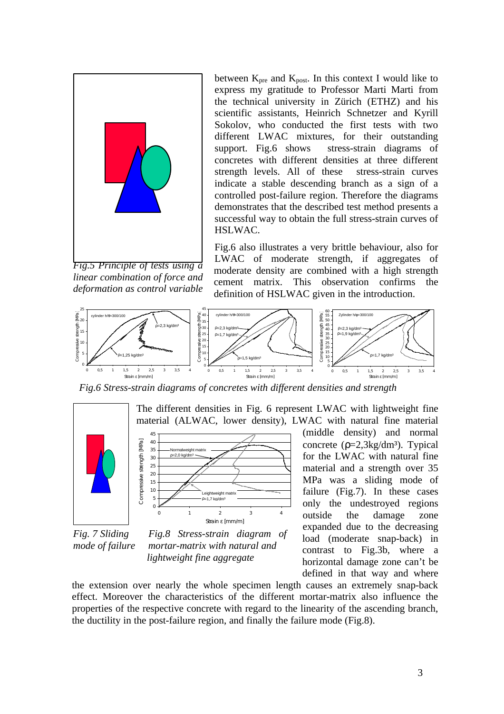

*Fig.5 Principle of tests using a linear combination of force and deformation as control variable*

45

between  $K_{pre}$  and  $K_{post}$ . In this context I would like to express my gratitude to Professor Marti Marti from the technical university in Zürich (ETHZ) and his scientific assistants, Heinrich Schnetzer and Kyrill Sokolov, who conducted the first tests with two different LWAC mixtures, for their outstanding support. Fig.6 shows stress-strain diagrams of concretes with different densities at three different strength levels. All of these stress-strain curves indicate a stable descending branch as a sign of a controlled post-failure region. Therefore the diagrams demonstrates that the described test method presents a successful way to obtain the full stress-strain curves of HSLWAC.

Fig.6 also illustrates a very brittle behaviour, also for LWAC of moderate strength, if aggregates of moderate density are combined with a high strength cement matrix. This observation confirms the definition of HSLWAC given in the introduction.



*Fig.6 Stress-strain diagrams of concretes with different densities and strength*





*Fig. 7 Sliding Fig.8 Stress-strain diagram of mode of failure mortar-matrix with natural and lightweight fine aggregate*

material (ALWAC, lower density), LWAC with natural fine material (middle density) and normal concrete  $(\rho=2.3 \text{kg/dm3})$ . Typical for the LWAC with natural fine material and a strength over 35 MPa was a sliding mode of failure (Fig.7). In these cases only the undestroyed regions outside the damage zone expanded due to the decreasing load (moderate snap-back) in contrast to Fig.3b, where a horizontal damage zone can't be defined in that way and where

the extension over nearly the whole specimen length causes an extremely snap-back effect. Moreover the characteristics of the different mortar-matrix also influence the properties of the respective concrete with regard to the linearity of the ascending branch, the ductility in the post-failure region, and finally the failure mode (Fig.8).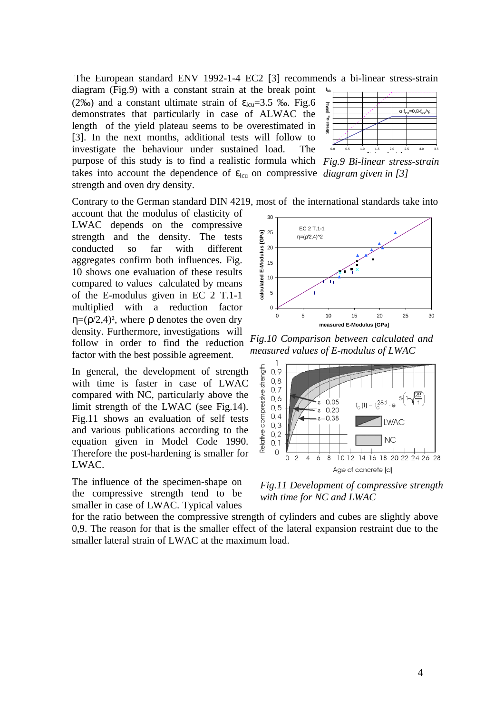The European standard ENV 1992-1-4 EC2 [3] recommends a bi-linear stress-strain diagram (Fig.9) with a constant strain at the break point (2‰) and a constant ultimate strain of  $\varepsilon_{\text{lcu}}$ =3.5 ‰. Fig.6 demonstrates that particularly in case of ALWAC the length of the yield plateau seems to be overestimated in [3]. In the next months, additional tests will follow to investigate the behaviour under sustained load. The purpose of this study is to find a realistic formula which Fig.9 Bi-linear stress-strain



takes into account the dependence of  $\varepsilon_{\text{lcu}}$  on compressive *diagram given in* [3]

Contrary to the German standard DIN 4219, most of the international standards take into

account that the modulus of elasticity of LWAC depends on the compressive strength and the density. The tests conducted so far with different aggregates confirm both influences. Fig. 10 shows one evaluation of these results compared to values calculated by means of the E-modulus given in EC 2 T.1-1 multiplied with a reduction factor  $η=(ρ/2,4)<sup>2</sup>$ , where ρ denotes the oven dry density. Furthermore, investigations will follow in order to find the reduction factor with the best possible agreement.

strength and oven dry density.

In general, the development of strength with time is faster in case of LWAC compared with NC, particularly above the limit strength of the LWAC (see Fig.14). Fig.11 shows an evaluation of self tests and various publications according to the equation given in Model Code 1990. Therefore the post-hardening is smaller for LWAC.

The influence of the specimen-shape on the compressive strength tend to be smaller in case of LWAC. Typical values



*Fig.10 Comparison between calculated and measured values of E-modulus of LWAC*



*Fig.11 Development of compressive strength with time for NC and LWAC*

for the ratio between the compressive strength of cylinders and cubes are slightly above 0,9. The reason for that is the smaller effect of the lateral expansion restraint due to the smaller lateral strain of LWAC at the maximum load.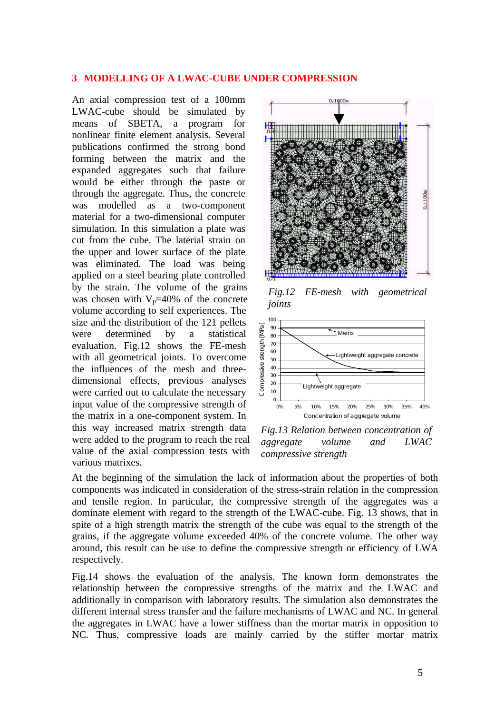#### **3 MODELLING OF A LWAC-CUBE UNDER COMPRESSION**

An axial compression test of a 100mm LWAC-cube should be simulated by means of SBETA, a program for nonlinear finite element analysis. Several publications confirmed the strong bond forming between the matrix and the expanded aggregates such that failure would be either through the paste or through the aggregate. Thus, the concrete was modelled as a two-component material for a two-dimensional computer simulation. In this simulation a plate was cut from the cube. The laterial strain on the upper and lower surface of the plate was eliminated. The load was being applied on a steel bearing plate controlled by the strain. The volume of the grains was chosen with  $V_p=40\%$  of the concrete volume according to self experiences. The size and the distribution of the 121 pellets were determined by a statistical evaluation. Fig.12 shows the FE-mesh with all geometrical joints. To overcome the influences of the mesh and threedimensional effects, previous analyses were carried out to calculate the necessary input value of the compressive strength of the matrix in a one-component system. In this way increased matrix strength data were added to the program to reach the real value of the axial compression tests with various matrixes.



*Fig.12 FE-mesh with geometrical joints*



*Fig.13 Relation between concentration of aggregate volume and LWAC compressive strength*

At the beginning of the simulation the lack of information about the properties of both components was indicated in consideration of the stress-strain relation in the compression and tensile region. In particular, the compressive strength of the aggregates was a dominate element with regard to the strength of the LWAC-cube. Fig. 13 shows, that in spite of a high strength matrix the strength of the cube was equal to the strength of the grains, if the aggregate volume exceeded 40% of the concrete volume. The other way around, this result can be use to define the compressive strength or efficiency of LWA respectively.

Fig.14 shows the evaluation of the analysis. The known form demonstrates the relationship between the compressive strengths of the matrix and the LWAC and additionally in comparison with laboratory results. The simulation also demonstrates the different internal stress transfer and the failure mechanisms of LWAC and NC. In general the aggregates in LWAC have a lower stiffness than the mortar matrix in opposition to NC. Thus, compressive loads are mainly carried by the stiffer mortar matrix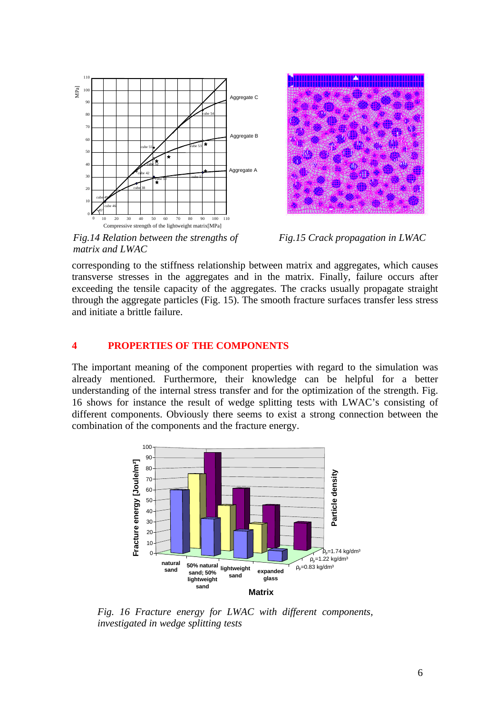



*Fig.14 Relation between the strengths of Fig.15 Crack propagation in LWAC matrix and LWAC*

corresponding to the stiffness relationship between matrix and aggregates, which causes transverse stresses in the aggregates and in the matrix. Finally, failure occurs after exceeding the tensile capacity of the aggregates. The cracks usually propagate straight through the aggregate particles (Fig. 15). The smooth fracture surfaces transfer less stress and initiate a brittle failure.

### **4 PROPERTIES OF THE COMPONENTS**

The important meaning of the component properties with regard to the simulation was already mentioned. Furthermore, their knowledge can be helpful for a better understanding of the internal stress transfer and for the optimization of the strength. Fig. 16 shows for instance the result of wedge splitting tests with LWAC's consisting of different components. Obviously there seems to exist a strong connection between the combination of the components and the fracture energy.



*Fig. 16 Fracture energy for LWAC with different components, investigated in wedge splitting tests*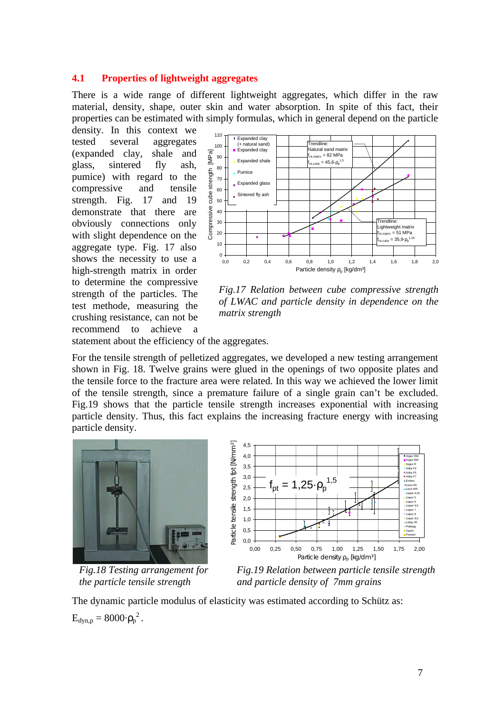### **4.1 Properties of lightweight aggregates**

There is a wide range of different lightweight aggregates, which differ in the raw material, density, shape, outer skin and water absorption. In spite of this fact, their properties can be estimated with simply formulas, which in general depend on the particle

density. In this context we tested several aggregates (expanded clay, shale and glass, sintered fly ash, pumice) with regard to the compressive and tensile strength. Fig. 17 and 19 demonstrate that there are obviously connections only with slight dependence on the aggregate type. Fig. 17 also shows the necessity to use a high-strength matrix in order to determine the compressive strength of the particles. The test methode, measuring the crushing resistance, can not be recommend to achieve a



*Fig.17 Relation between cube compressive strength of LWAC and particle density in dependence on the matrix strength*

statement about the efficiency of the aggregates.

For the tensile strength of pelletized aggregates, we developed a new testing arrangement shown in Fig. 18. Twelve grains were glued in the openings of two opposite plates and the tensile force to the fracture area were related. In this way we achieved the lower limit of the tensile strength, since a premature failure of a single grain can't be excluded. Fig.19 shows that the particle tensile strength increases exponential with increasing particle density. Thus, this fact explains the increasing fracture energy with increasing particle density.





*Fig.18 Testing arrangement for Fig.19 Relation between particle tensile strength the particle tensile strength and particle density of 7mm grains*

The dynamic particle modulus of elasticity was estimated according to Schütz as:  $E_{dyn,p} = 8000 \cdot {\rho_p}^2$ .